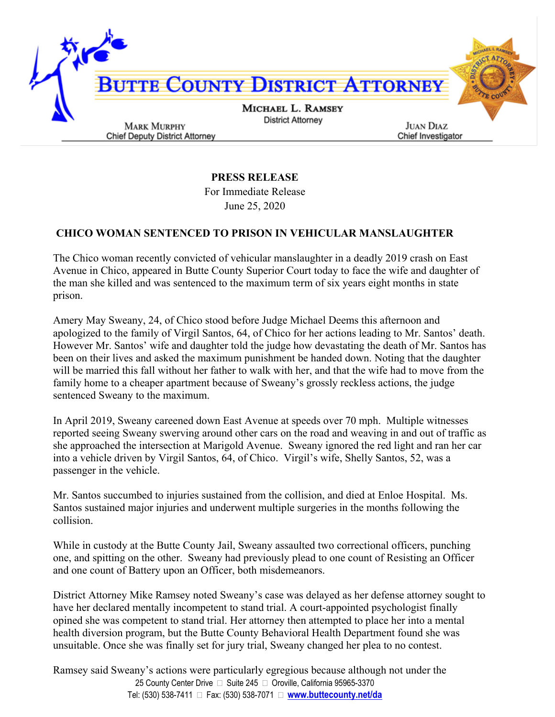

## **PRESS RELEASE**

For Immediate Release June 25, 2020

## **CHICO WOMAN SENTENCED TO PRISON IN VEHICULAR MANSLAUGHTER**

The Chico woman recently convicted of vehicular manslaughter in a deadly 2019 crash on East Avenue in Chico, appeared in Butte County Superior Court today to face the wife and daughter of the man she killed and was sentenced to the maximum term of six years eight months in state prison.

Amery May Sweany, 24, of Chico stood before Judge Michael Deems this afternoon and apologized to the family of Virgil Santos, 64, of Chico for her actions leading to Mr. Santos' death. However Mr. Santos' wife and daughter told the judge how devastating the death of Mr. Santos has been on their lives and asked the maximum punishment be handed down. Noting that the daughter will be married this fall without her father to walk with her, and that the wife had to move from the family home to a cheaper apartment because of Sweany's grossly reckless actions, the judge sentenced Sweany to the maximum.

In April 2019, Sweany careened down East Avenue at speeds over 70 mph. Multiple witnesses reported seeing Sweany swerving around other cars on the road and weaving in and out of traffic as she approached the intersection at Marigold Avenue. Sweany ignored the red light and ran her car into a vehicle driven by Virgil Santos, 64, of Chico. Virgil's wife, Shelly Santos, 52, was a passenger in the vehicle.

Mr. Santos succumbed to injuries sustained from the collision, and died at Enloe Hospital. Ms. Santos sustained major injuries and underwent multiple surgeries in the months following the collision.

While in custody at the Butte County Jail, Sweany assaulted two correctional officers, punching one, and spitting on the other. Sweany had previously plead to one count of Resisting an Officer and one count of Battery upon an Officer, both misdemeanors.

District Attorney Mike Ramsey noted Sweany's case was delayed as her defense attorney sought to have her declared mentally incompetent to stand trial. A court-appointed psychologist finally opined she was competent to stand trial. Her attorney then attempted to place her into a mental health diversion program, but the Butte County Behavioral Health Department found she was unsuitable. Once she was finally set for jury trial, Sweany changed her plea to no contest.

25 County Center Drive □ Suite 245 □ Oroville, California 95965-3370 Tel: (530) 538-7411 Fax: (530) 538-7071 **www.buttecounty.net/da** Ramsey said Sweany's actions were particularly egregious because although not under the